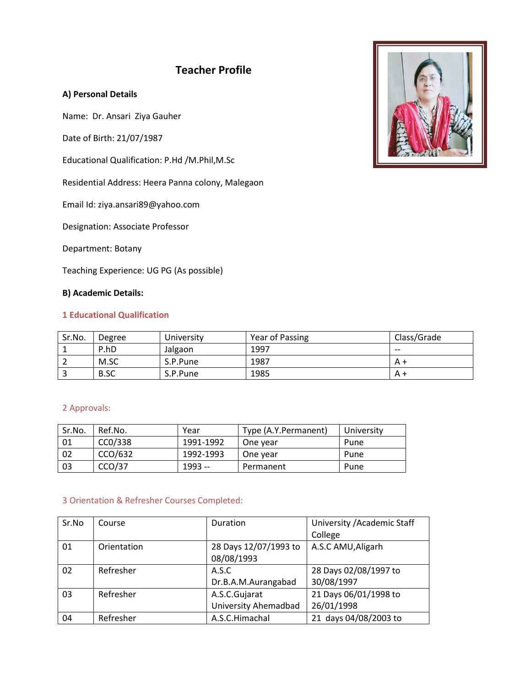# **Teacher Profile**

### **A) Personal Details**

Name: Dr. Ansari Ziya Gauher

Date of Birth: 21/07/1987

Educational Qualification: P.Hd /M.Phil,M.Sc

Residential Address: Heera Panna colony, Malegaon

Email Id: ziya.ansari89@yahoo.com

Designation: Associate Professor

Department: Botany

Teaching Experience: UG PG (As possible)

#### **B) Academic Details:**

### **1 Educational Qualification**

| Sr.No. | Degree | University | Year of Passing | Class/Grade |
|--------|--------|------------|-----------------|-------------|
|        | P.hD   | Jalgaon    | 1997            | $- -$       |
|        | M.SC   | S.P.Pune   | 1987            | A +         |
| ں      | B.SC   | S.P.Pune   | 1985            | A +         |

### 2 Approvals:

| Sr.No. | Ref.No. | Year      | Type (A.Y.Permanent) | University |
|--------|---------|-----------|----------------------|------------|
| 01     | CC0/338 | 1991-1992 | One year             | Pune       |
| 02     | CCO/632 | 1992-1993 | One year             | Pune       |
| 03     | CCO/37  | 1993 --   | Permanent            | Pune       |

### 3 Orientation & Refresher Courses Completed:

| Sr.No | Course      | Duration                            | University / Academic Staff<br>College |
|-------|-------------|-------------------------------------|----------------------------------------|
| 01    | Orientation | 28 Days 12/07/1993 to<br>08/08/1993 | A.S.C AMU, Aligarh                     |
| 02    | Refresher   | A.S.C                               | 28 Days 02/08/1997 to                  |
|       |             | Dr.B.A.M.Aurangabad                 | 30/08/1997                             |
| 03    | Refresher   | A.S.C.Gujarat                       | 21 Days 06/01/1998 to                  |
|       |             | <b>University Ahemadbad</b>         | 26/01/1998                             |
| 04    | Refresher   | A.S.C.Himachal                      | 21 days 04/08/2003 to                  |

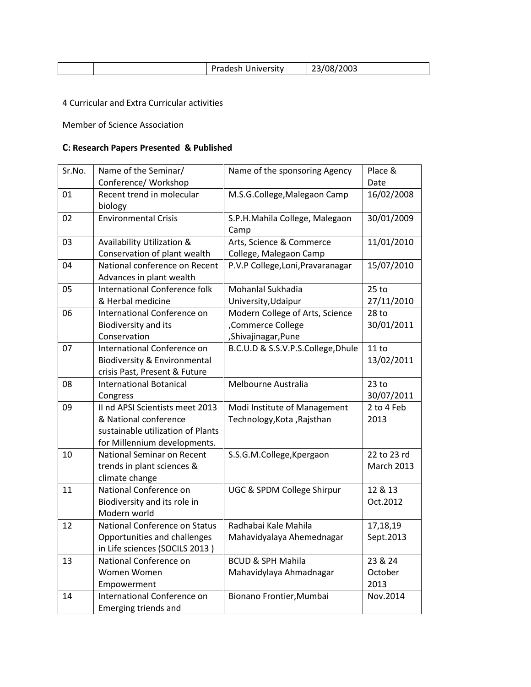| nna<br>University<br>ماممام مهرار<br>wus.<br>40P <sub>2</sub> |
|---------------------------------------------------------------|
|---------------------------------------------------------------|

## 4 Curricular and Extra Curricular activities

Member of Science Association

### **C: Research Papers Presented & Published**

| Sr.No. | Name of the Seminar/                     | Name of the sponsoring Agency          | Place &           |
|--------|------------------------------------------|----------------------------------------|-------------------|
|        | Conference/ Workshop                     |                                        | Date              |
| 01     | Recent trend in molecular<br>biology     | M.S.G.College, Malegaon Camp           | 16/02/2008        |
| 02     | <b>Environmental Crisis</b>              | S.P.H.Mahila College, Malegaon<br>Camp | 30/01/2009        |
| 03     | Availability Utilization &               | Arts, Science & Commerce               | 11/01/2010        |
|        | Conservation of plant wealth             | College, Malegaon Camp                 |                   |
| 04     | National conference on Recent            | P.V.P College, Loni, Pravaranagar      | 15/07/2010        |
|        | Advances in plant wealth                 |                                        |                   |
| 05     | <b>International Conference folk</b>     | Mohanlal Sukhadia                      | $25$ to           |
|        | & Herbal medicine                        | University, Udaipur                    | 27/11/2010        |
| 06     | International Conference on              | Modern College of Arts, Science        | 28 <sub>to</sub>  |
|        | Biodiversity and its                     | ,Commerce College                      | 30/01/2011        |
|        | Conservation                             | ,Shivajinagar,Pune                     |                   |
| 07     | International Conference on              | B.C.U.D & S.S.V.P.S.College, Dhule     | 11 to             |
|        | Biodiversity & Environmental             |                                        | 13/02/2011        |
|        | crisis Past, Present & Future            |                                        |                   |
| 08     | <b>International Botanical</b>           | Melbourne Australia                    | $23$ to           |
|        | Congress                                 |                                        | 30/07/2011        |
| 09     | II nd APSI Scientists meet 2013          | Modi Institute of Management           | 2 to 4 Feb        |
|        | & National conference                    | Technology, Kota, Rajsthan             | 2013              |
|        | sustainable utilization of Plants        |                                        |                   |
|        | for Millennium developments.             |                                        |                   |
| 10     | <b>National Seminar on Recent</b>        | S.S.G.M.College, Kpergaon              | 22 to 23 rd       |
|        | trends in plant sciences &               |                                        | <b>March 2013</b> |
| 11     | climate change<br>National Conference on |                                        | 12 & 13           |
|        | Biodiversity and its role in             | UGC & SPDM College Shirpur             | Oct.2012          |
|        | Modern world                             |                                        |                   |
| 12     | National Conference on Status            | Radhabai Kale Mahila                   | 17,18,19          |
|        | Opportunities and challenges             | Mahavidyalaya Ahemednagar              | Sept.2013         |
|        | in Life sciences (SOCILS 2013)           |                                        |                   |
| 13     | National Conference on                   | <b>BCUD &amp; SPH Mahila</b>           | 23 & 24           |
|        | Women Women                              | Mahavidylaya Ahmadnagar                | October           |
|        | Empowerment                              |                                        | 2013              |
| 14     | International Conference on              | Bionano Frontier, Mumbai               | Nov.2014          |
|        | Emerging triends and                     |                                        |                   |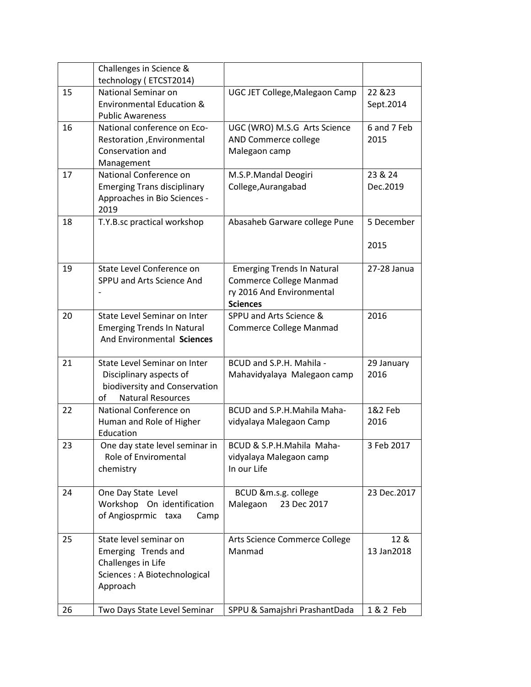|    | Challenges in Science &<br>technology (ETCST2014)                                                                          |                                                                                                              |                      |
|----|----------------------------------------------------------------------------------------------------------------------------|--------------------------------------------------------------------------------------------------------------|----------------------|
| 15 | National Seminar on<br><b>Environmental Education &amp;</b><br><b>Public Awareness</b>                                     | UGC JET College, Malegaon Camp                                                                               | 22 & 23<br>Sept.2014 |
| 16 | National conference on Eco-<br>Restoration, Environmental<br>Conservation and<br>Management                                | UGC (WRO) M.S.G Arts Science<br>AND Commerce college<br>Malegaon camp                                        | 6 and 7 Feb<br>2015  |
| 17 | National Conference on<br><b>Emerging Trans disciplinary</b><br>Approaches in Bio Sciences -<br>2019                       | M.S.P.Mandal Deogiri<br>College, Aurangabad                                                                  | 23 & 24<br>Dec.2019  |
| 18 | T.Y.B.sc practical workshop                                                                                                | Abasaheb Garware college Pune                                                                                | 5 December<br>2015   |
| 19 | State Level Conference on<br>SPPU and Arts Science And                                                                     | <b>Emerging Trends In Natural</b><br>Commerce College Manmad<br>ry 2016 And Environmental<br><b>Sciences</b> | 27-28 Janua          |
| 20 | State Level Seminar on Inter<br><b>Emerging Trends In Natural</b><br>And Environmental Sciences                            | SPPU and Arts Science &<br>Commerce College Manmad                                                           | 2016                 |
| 21 | State Level Seminar on Inter<br>Disciplinary aspects of<br>biodiversity and Conservation<br><b>Natural Resources</b><br>of | BCUD and S.P.H. Mahila -<br>Mahavidyalaya Malegaon camp                                                      | 29 January<br>2016   |
| 22 | National Conference on<br>Human and Role of Higher<br>Education                                                            | BCUD and S.P.H.Mahila Maha-<br>vidyalaya Malegaon Camp                                                       | 1&2 Feb<br>2016      |
| 23 | One day state level seminar in<br>Role of Enviromental<br>chemistry                                                        | BCUD & S.P.H.Mahila Maha-<br>vidyalaya Malegaon camp<br>In our Life                                          | 3 Feb 2017           |
| 24 | One Day State Level<br>Workshop On identification<br>of Angiosprmic taxa<br>Camp                                           | BCUD &m.s.g. college<br>Malegaon<br>23 Dec 2017                                                              | 23 Dec.2017          |
| 25 | State level seminar on<br>Emerging Trends and<br>Challenges in Life<br>Sciences : A Biotechnological<br>Approach           | Arts Science Commerce College<br>Manmad                                                                      | 12 &<br>13 Jan2018   |
| 26 | Two Days State Level Seminar                                                                                               | SPPU & Samajshri PrashantDada                                                                                | 1 & 2 Feb            |